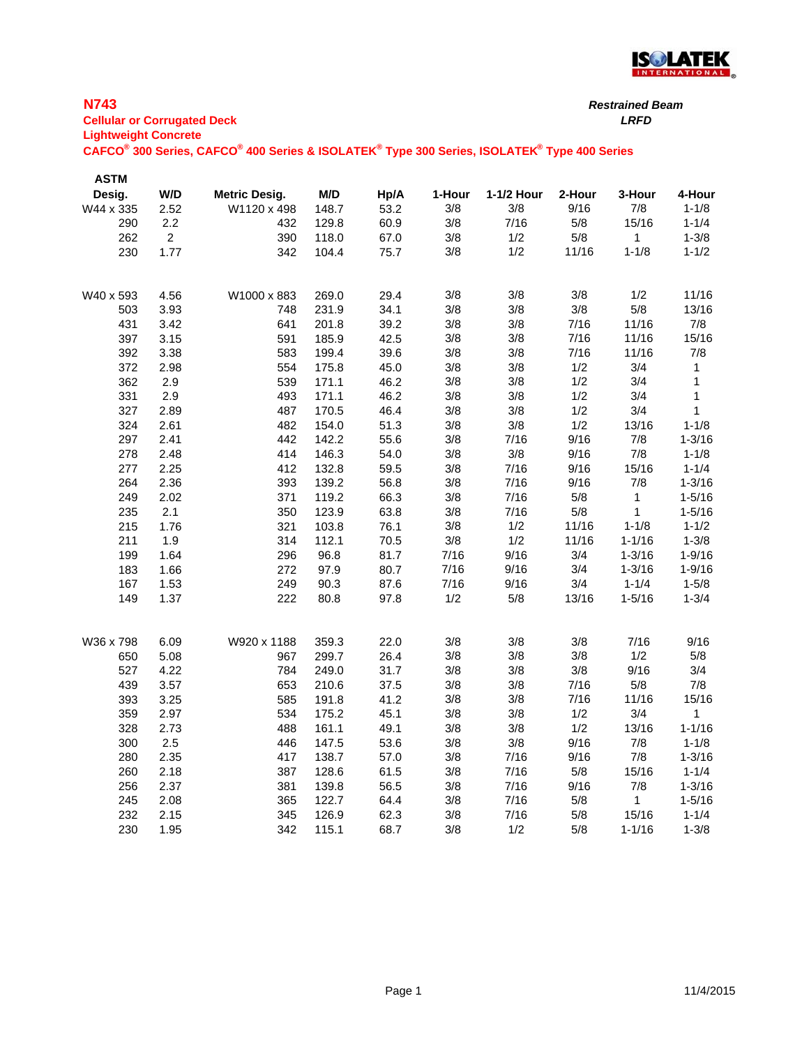

### **N743**

| <b>Cellular or Corrugated Deck</b> | <b>LRFD</b> |
|------------------------------------|-------------|
| <b>Lightweight Concrete</b>        |             |

| <b>ASTM</b> |                |                      |       |      |        |            |        |              |              |
|-------------|----------------|----------------------|-------|------|--------|------------|--------|--------------|--------------|
| Desig.      | W/D            | <b>Metric Desig.</b> | M/D   | Hp/A | 1-Hour | 1-1/2 Hour | 2-Hour | 3-Hour       | 4-Hour       |
| W44 x 335   | 2.52           | W1120 x 498          | 148.7 | 53.2 | 3/8    | 3/8        | 9/16   | 7/8          | $1 - 1/8$    |
| 290         | 2.2            | 432                  | 129.8 | 60.9 | 3/8    | 7/16       | $5/8$  | 15/16        | $1 - 1/4$    |
| 262         | $\overline{c}$ | 390                  | 118.0 | 67.0 | 3/8    | 1/2        | 5/8    | $\mathbf{1}$ | $1 - 3/8$    |
| 230         | 1.77           | 342                  | 104.4 | 75.7 | 3/8    | 1/2        | 11/16  | $1 - 1/8$    | $1 - 1/2$    |
|             |                |                      |       |      |        |            |        |              |              |
| W40 x 593   | 4.56           | W1000 x 883          | 269.0 | 29.4 | 3/8    | 3/8        | 3/8    | 1/2          | 11/16        |
| 503         | 3.93           | 748                  | 231.9 | 34.1 | 3/8    | 3/8        | 3/8    | $5/8$        | 13/16        |
| 431         | 3.42           | 641                  | 201.8 | 39.2 | 3/8    | 3/8        | 7/16   | 11/16        | 7/8          |
| 397         | 3.15           | 591                  | 185.9 | 42.5 | 3/8    | 3/8        | 7/16   | 11/16        | 15/16        |
| 392         | 3.38           | 583                  | 199.4 | 39.6 | 3/8    | 3/8        | 7/16   | 11/16        | 7/8          |
| 372         | 2.98           | 554                  | 175.8 | 45.0 | 3/8    | 3/8        | 1/2    | 3/4          | $\mathbf{1}$ |
| 362         | 2.9            | 539                  | 171.1 | 46.2 | 3/8    | 3/8        | 1/2    | 3/4          | 1            |
| 331         | 2.9            | 493                  | 171.1 | 46.2 | 3/8    | 3/8        | 1/2    | 3/4          | 1            |
| 327         | 2.89           | 487                  | 170.5 | 46.4 | 3/8    | 3/8        | 1/2    | 3/4          | $\mathbf{1}$ |
| 324         | 2.61           | 482                  | 154.0 | 51.3 | 3/8    | $3/8$      | 1/2    | 13/16        | $1 - 1/8$    |
| 297         | 2.41           | 442                  | 142.2 | 55.6 | 3/8    | 7/16       | 9/16   | 7/8          | $1 - 3/16$   |
| 278         | 2.48           | 414                  | 146.3 | 54.0 | 3/8    | 3/8        | 9/16   | 7/8          | $1 - 1/8$    |
| 277         | 2.25           | 412                  | 132.8 | 59.5 | 3/8    | 7/16       | 9/16   | 15/16        | $1 - 1/4$    |
| 264         | 2.36           | 393                  | 139.2 | 56.8 | 3/8    | 7/16       | 9/16   | $7/8$        | $1 - 3/16$   |
| 249         | 2.02           | 371                  | 119.2 | 66.3 | 3/8    | 7/16       | $5/8$  | $\mathbf{1}$ | $1 - 5/16$   |
| 235         | 2.1            | 350                  | 123.9 | 63.8 | 3/8    | 7/16       | 5/8    | $\mathbf{1}$ | $1 - 5/16$   |
| 215         | 1.76           | 321                  | 103.8 | 76.1 | 3/8    | 1/2        | 11/16  | $1 - 1/8$    | $1 - 1/2$    |
| 211         | 1.9            | 314                  | 112.1 | 70.5 | $3/8$  | 1/2        | 11/16  | $1 - 1/16$   | $1 - 3/8$    |
| 199         | 1.64           | 296                  | 96.8  | 81.7 | 7/16   | 9/16       | 3/4    | $1 - 3/16$   | $1 - 9/16$   |
| 183         | 1.66           | 272                  | 97.9  | 80.7 | 7/16   | 9/16       | 3/4    | $1 - 3/16$   | $1 - 9/16$   |
| 167         | 1.53           | 249                  | 90.3  | 87.6 | 7/16   | 9/16       | 3/4    | $1 - 1/4$    | $1 - 5/8$    |
| 149         | 1.37           | 222                  | 80.8  | 97.8 | 1/2    | $5/8$      | 13/16  | $1 - 5/16$   | $1 - 3/4$    |
|             |                |                      |       |      |        |            |        |              |              |
| W36 x 798   | 6.09           | W920 x 1188          | 359.3 | 22.0 | 3/8    | 3/8        | 3/8    | 7/16         | 9/16         |
| 650         | 5.08           | 967                  | 299.7 | 26.4 | 3/8    | 3/8        | 3/8    | 1/2          | $5/8$        |
| 527         | 4.22           | 784                  | 249.0 | 31.7 | 3/8    | 3/8        | 3/8    | 9/16         | 3/4          |
| 439         | 3.57           | 653                  | 210.6 | 37.5 | $3/8$  | 3/8        | 7/16   | $5/8$        | 7/8          |
| 393         | 3.25           | 585                  | 191.8 | 41.2 | 3/8    | 3/8        | 7/16   | 11/16        | 15/16        |
| 359         | 2.97           | 534                  | 175.2 | 45.1 | 3/8    | 3/8        | 1/2    | 3/4          | 1            |
| 328         | 2.73           | 488                  | 161.1 | 49.1 | 3/8    | 3/8        | 1/2    | 13/16        | $1 - 1/16$   |
| 300         | 2.5            | 446                  | 147.5 | 53.6 | 3/8    | 3/8        | 9/16   | 7/8          | $1 - 1/8$    |
| 280         | 2.35           | 417                  | 138.7 | 57.0 | 3/8    | 7/16       | 9/16   | 7/8          | $1 - 3/16$   |
| 260         | 2.18           | 387                  | 128.6 | 61.5 | 3/8    | 7/16       | 5/8    | 15/16        | $1 - 1/4$    |
| 256         | 2.37           | 381                  | 139.8 | 56.5 | 3/8    | 7/16       | 9/16   | 7/8          | $1 - 3/16$   |
| 245         | 2.08           | 365                  | 122.7 | 64.4 | 3/8    | 7/16       | $5/8$  | $\mathbf{1}$ | $1 - 5/16$   |
| 232         | 2.15           | 345                  | 126.9 | 62.3 | 3/8    | 7/16       | 5/8    | 15/16        | $1 - 1/4$    |
| 230         | 1.95           | 342                  | 115.1 | 68.7 | 3/8    | 1/2        | 5/8    | $1 - 1/16$   | $1 - 3/8$    |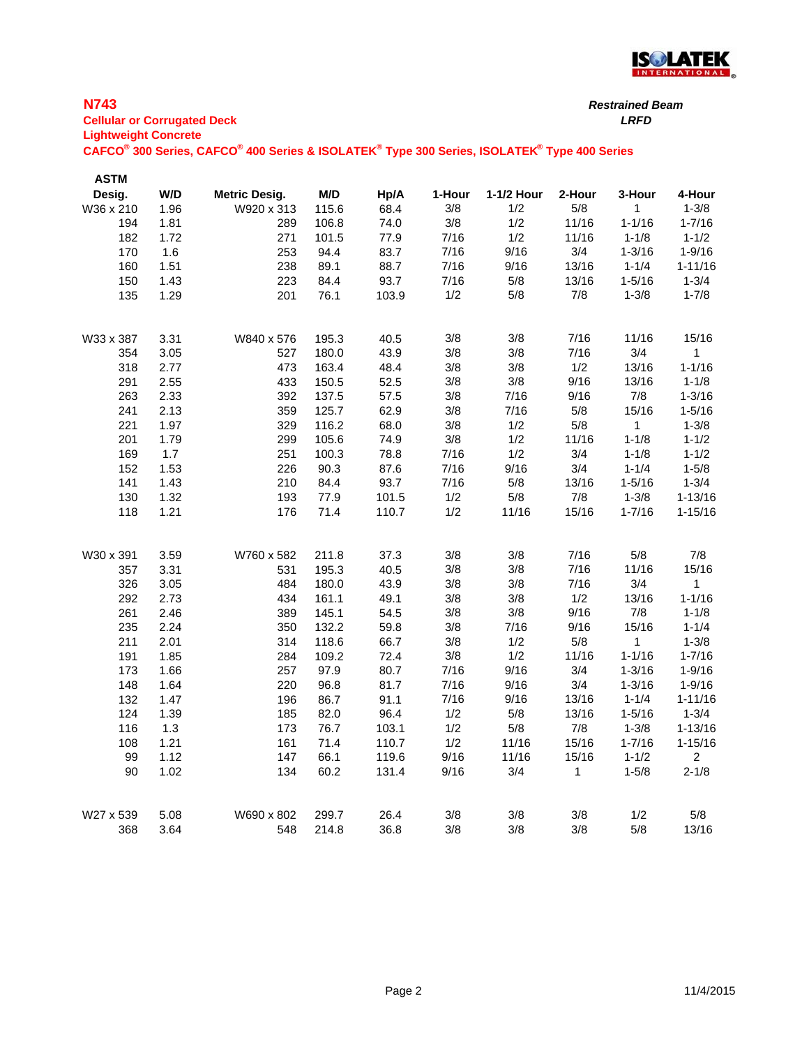

## **N743**

| <b>Restrained Beam</b> |  |
|------------------------|--|
| חסם ו                  |  |

**Cellular or Corrugated Deck** *LRFD* **Lightweight Concrete**

| <b>ASTM</b> |      |                      |       |       |        |            |        |              |                |
|-------------|------|----------------------|-------|-------|--------|------------|--------|--------------|----------------|
| Desig.      | W/D  | <b>Metric Desig.</b> | M/D   | Hp/A  | 1-Hour | 1-1/2 Hour | 2-Hour | 3-Hour       | 4-Hour         |
| W36 x 210   | 1.96 | W920 x 313           | 115.6 | 68.4  | 3/8    | 1/2        | $5/8$  | 1            | $1 - 3/8$      |
| 194         | 1.81 | 289                  | 106.8 | 74.0  | 3/8    | 1/2        | 11/16  | $1 - 1/16$   | $1 - 7/16$     |
| 182         | 1.72 | 271                  | 101.5 | 77.9  | 7/16   | 1/2        | 11/16  | $1 - 1/8$    | $1 - 1/2$      |
| 170         | 1.6  | 253                  | 94.4  | 83.7  | 7/16   | 9/16       | 3/4    | $1 - 3/16$   | $1 - 9/16$     |
| 160         | 1.51 | 238                  | 89.1  | 88.7  | 7/16   | 9/16       | 13/16  | $1 - 1/4$    | $1 - 11/16$    |
| 150         | 1.43 | 223                  | 84.4  | 93.7  | 7/16   | 5/8        | 13/16  | $1 - 5/16$   | $1 - 3/4$      |
| 135         | 1.29 | 201                  | 76.1  | 103.9 | 1/2    | 5/8        | 7/8    | $1 - 3/8$    | $1 - 7/8$      |
| W33 x 387   | 3.31 | W840 x 576           | 195.3 | 40.5  | 3/8    | 3/8        | 7/16   | 11/16        | 15/16          |
| 354         | 3.05 | 527                  | 180.0 | 43.9  | 3/8    | 3/8        | 7/16   | 3/4          | $\mathbf{1}$   |
| 318         | 2.77 | 473                  | 163.4 | 48.4  | 3/8    | 3/8        | 1/2    | 13/16        | $1 - 1/16$     |
| 291         | 2.55 | 433                  | 150.5 | 52.5  | 3/8    | 3/8        | 9/16   | 13/16        | $1 - 1/8$      |
| 263         | 2.33 | 392                  | 137.5 | 57.5  | 3/8    | 7/16       | 9/16   | 7/8          | $1 - 3/16$     |
| 241         | 2.13 | 359                  | 125.7 | 62.9  | 3/8    | 7/16       | $5/8$  | 15/16        | $1 - 5/16$     |
| 221         | 1.97 | 329                  | 116.2 | 68.0  | 3/8    | 1/2        | $5/8$  | $\mathbf{1}$ | $1 - 3/8$      |
| 201         | 1.79 | 299                  | 105.6 | 74.9  | 3/8    | 1/2        | 11/16  | $1 - 1/8$    | $1 - 1/2$      |
| 169         | 1.7  | 251                  | 100.3 | 78.8  | 7/16   | 1/2        | 3/4    | $1 - 1/8$    | $1 - 1/2$      |
| 152         | 1.53 | 226                  | 90.3  | 87.6  | 7/16   | 9/16       | 3/4    | $1 - 1/4$    | $1 - 5/8$      |
| 141         | 1.43 | 210                  | 84.4  | 93.7  | 7/16   | $5/8$      | 13/16  | $1 - 5/16$   | $1 - 3/4$      |
| 130         | 1.32 | 193                  | 77.9  | 101.5 | 1/2    | $5/8$      | 7/8    | $1 - 3/8$    | $1 - 13/16$    |
| 118         | 1.21 | 176                  | 71.4  | 110.7 | 1/2    | 11/16      | 15/16  | $1 - 7/16$   | $1 - 15/16$    |
| W30 x 391   | 3.59 | W760 x 582           | 211.8 | 37.3  | 3/8    | 3/8        | 7/16   | $5/8$        | 7/8            |
| 357         | 3.31 | 531                  | 195.3 | 40.5  | 3/8    | 3/8        | 7/16   | 11/16        | 15/16          |
| 326         | 3.05 | 484                  | 180.0 | 43.9  | 3/8    | 3/8        | 7/16   | 3/4          | 1              |
| 292         | 2.73 | 434                  | 161.1 | 49.1  | 3/8    | 3/8        | 1/2    | 13/16        | $1 - 1/16$     |
| 261         | 2.46 | 389                  | 145.1 | 54.5  | 3/8    | 3/8        | 9/16   | 7/8          | $1 - 1/8$      |
| 235         | 2.24 | 350                  | 132.2 | 59.8  | 3/8    | 7/16       | 9/16   | 15/16        | $1 - 1/4$      |
| 211         | 2.01 | 314                  | 118.6 | 66.7  | 3/8    | 1/2        | $5/8$  | 1            | $1 - 3/8$      |
| 191         | 1.85 | 284                  | 109.2 | 72.4  | 3/8    | 1/2        | 11/16  | $1 - 1/16$   | $1 - 7/16$     |
| 173         | 1.66 | 257                  | 97.9  | 80.7  | 7/16   | 9/16       | 3/4    | $1 - 3/16$   | $1 - 9/16$     |
| 148         | 1.64 | 220                  | 96.8  | 81.7  | 7/16   | 9/16       | 3/4    | $1 - 3/16$   | $1 - 9/16$     |
| 132         | 1.47 | 196                  | 86.7  | 91.1  | 7/16   | 9/16       | 13/16  | $1 - 1/4$    | $1 - 11/16$    |
| 124         | 1.39 | 185                  | 82.0  | 96.4  | 1/2    | $5/8$      | 13/16  | $1 - 5/16$   | $1 - 3/4$      |
| 116         | 1.3  | 173                  | 76.7  | 103.1 | 1/2    | $5/8$      | $7/8$  | $1 - 3/8$    | $1 - 13/16$    |
| 108         | 1.21 | 161                  | 71.4  | 110.7 | 1/2    | 11/16      | 15/16  | $1 - 7/16$   | $1 - 15/16$    |
| 99          | 1.12 | 147                  | 66.1  | 119.6 | 9/16   | 11/16      | 15/16  | $1 - 1/2$    | $\overline{c}$ |
| 90          | 1.02 | 134                  | 60.2  | 131.4 | 9/16   | 3/4        | 1      | $1 - 5/8$    | $2 - 1/8$      |
| W27 x 539   | 5.08 | W690 x 802           | 299.7 | 26.4  | 3/8    | 3/8        | 3/8    | 1/2          | 5/8            |
| 368         | 3.64 | 548                  | 214.8 | 36.8  | 3/8    | 3/8        | 3/8    | 5/8          | 13/16          |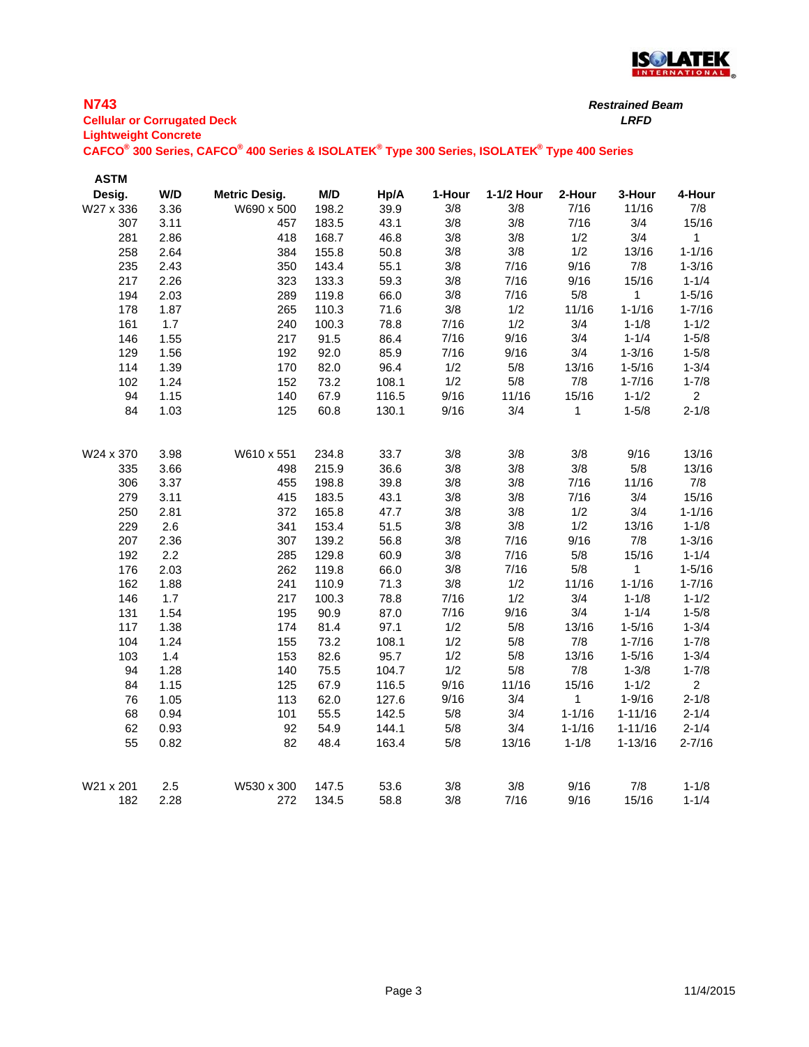

## **N743**

| <b>Cellular or Corrugated Deck</b>    |  |  | LRFD |
|---------------------------------------|--|--|------|
| <b>Lightweight Concrete</b>           |  |  |      |
| 그 아이는 그 사람들은 아이들은 아이들에게 아이들이 어려워 주었다. |  |  |      |

| <b>ASTM</b> |      |                      |       |       |        |            |              |              |                |
|-------------|------|----------------------|-------|-------|--------|------------|--------------|--------------|----------------|
| Desig.      | W/D  | <b>Metric Desig.</b> | M/D   | Hp/A  | 1-Hour | 1-1/2 Hour | 2-Hour       | 3-Hour       | 4-Hour         |
| W27 x 336   | 3.36 | W690 x 500           | 198.2 | 39.9  | 3/8    | 3/8        | 7/16         | 11/16        | 7/8            |
| 307         | 3.11 | 457                  | 183.5 | 43.1  | 3/8    | 3/8        | 7/16         | 3/4          | 15/16          |
| 281         | 2.86 | 418                  | 168.7 | 46.8  | 3/8    | 3/8        | 1/2          | 3/4          | 1              |
| 258         | 2.64 | 384                  | 155.8 | 50.8  | 3/8    | 3/8        | 1/2          | 13/16        | $1 - 1/16$     |
| 235         | 2.43 | 350                  | 143.4 | 55.1  | 3/8    | 7/16       | 9/16         | 7/8          | $1 - 3/16$     |
| 217         | 2.26 | 323                  | 133.3 | 59.3  | 3/8    | 7/16       | 9/16         | 15/16        | $1 - 1/4$      |
| 194         | 2.03 | 289                  | 119.8 | 66.0  | 3/8    | 7/16       | $5/8$        | $\mathbf{1}$ | $1 - 5/16$     |
| 178         | 1.87 | 265                  | 110.3 | 71.6  | 3/8    | 1/2        | 11/16        | $1 - 1/16$   | $1 - 7/16$     |
| 161         | 1.7  | 240                  | 100.3 | 78.8  | 7/16   | 1/2        | 3/4          | $1 - 1/8$    | $1 - 1/2$      |
| 146         | 1.55 | 217                  | 91.5  | 86.4  | 7/16   | 9/16       | 3/4          | $1 - 1/4$    | $1 - 5/8$      |
| 129         | 1.56 | 192                  | 92.0  | 85.9  | 7/16   | 9/16       | 3/4          | $1 - 3/16$   | $1 - 5/8$      |
| 114         | 1.39 | 170                  | 82.0  | 96.4  | 1/2    | $5/8$      | 13/16        | $1 - 5/16$   | $1 - 3/4$      |
| 102         | 1.24 | 152                  | 73.2  | 108.1 | 1/2    | 5/8        | 7/8          | $1 - 7/16$   | $1 - 7/8$      |
| 94          | 1.15 | 140                  | 67.9  | 116.5 | 9/16   | 11/16      | 15/16        | $1 - 1/2$    | $\overline{2}$ |
| 84          | 1.03 | 125                  | 60.8  | 130.1 | 9/16   | 3/4        | $\mathbf{1}$ | $1 - 5/8$    | $2 - 1/8$      |
|             |      |                      |       |       |        |            |              |              |                |
| W24 x 370   | 3.98 | W610 x 551           | 234.8 | 33.7  | 3/8    | 3/8        | 3/8          | 9/16         | 13/16          |
| 335         | 3.66 | 498                  | 215.9 | 36.6  | 3/8    | 3/8        | $3/8$        | $5/8$        | 13/16          |
| 306         | 3.37 | 455                  | 198.8 | 39.8  | 3/8    | 3/8        | 7/16         | 11/16        | 7/8            |
| 279         | 3.11 | 415                  | 183.5 | 43.1  | 3/8    | 3/8        | 7/16         | 3/4          | 15/16          |
| 250         | 2.81 | 372                  | 165.8 | 47.7  | 3/8    | 3/8        | 1/2          | 3/4          | $1 - 1/16$     |
| 229         | 2.6  | 341                  | 153.4 | 51.5  | 3/8    | 3/8        | 1/2          | 13/16        | $1 - 1/8$      |
| 207         | 2.36 | 307                  | 139.2 | 56.8  | 3/8    | 7/16       | 9/16         | 7/8          | $1 - 3/16$     |
| 192         | 2.2  | 285                  | 129.8 | 60.9  | 3/8    | 7/16       | $5/8$        | 15/16        | $1 - 1/4$      |
| 176         | 2.03 | 262                  | 119.8 | 66.0  | 3/8    | 7/16       | $5/8$        | 1            | $1 - 5/16$     |
| 162         | 1.88 | 241                  | 110.9 | 71.3  | 3/8    | 1/2        | 11/16        | $1 - 1/16$   | $1 - 7/16$     |
| 146         | 1.7  | 217                  | 100.3 | 78.8  | 7/16   | 1/2        | 3/4          | $1 - 1/8$    | $1 - 1/2$      |
| 131         | 1.54 | 195                  | 90.9  | 87.0  | 7/16   | 9/16       | 3/4          | $1 - 1/4$    | $1 - 5/8$      |
| 117         | 1.38 | 174                  | 81.4  | 97.1  | 1/2    | 5/8        | 13/16        | $1 - 5/16$   | $1 - 3/4$      |
| 104         | 1.24 | 155                  | 73.2  | 108.1 | 1/2    | 5/8        | 7/8          | $1 - 7/16$   | $1 - 7/8$      |
| 103         | 1.4  | 153                  | 82.6  | 95.7  | 1/2    | 5/8        | 13/16        | $1 - 5/16$   | $1 - 3/4$      |
| 94          | 1.28 | 140                  | 75.5  | 104.7 | 1/2    | 5/8        | 7/8          | $1 - 3/8$    | $1 - 7/8$      |
| 84          | 1.15 | 125                  | 67.9  | 116.5 | 9/16   | 11/16      | 15/16        | $1 - 1/2$    | $\overline{c}$ |
| 76          | 1.05 | 113                  | 62.0  | 127.6 | 9/16   | 3/4        | 1            | $1 - 9/16$   | $2 - 1/8$      |
| 68          | 0.94 | 101                  | 55.5  | 142.5 | $5/8$  | 3/4        | $1 - 1/16$   | $1 - 11/16$  | $2 - 1/4$      |
| 62          | 0.93 | 92                   | 54.9  | 144.1 | 5/8    | 3/4        | $1 - 1/16$   | $1 - 11/16$  | $2 - 1/4$      |
| 55          | 0.82 | 82                   | 48.4  | 163.4 | 5/8    | 13/16      | $1 - 1/8$    | $1 - 13/16$  | $2 - 7/16$     |
|             |      |                      |       |       |        |            |              |              |                |
| W21 x 201   | 2.5  | W530 x 300           | 147.5 | 53.6  | 3/8    | 3/8        | 9/16         | 7/8          | $1 - 1/8$      |
| 182         | 2.28 | 272                  | 134.5 | 58.8  | 3/8    | 7/16       | 9/16         | 15/16        | $1 - 1/4$      |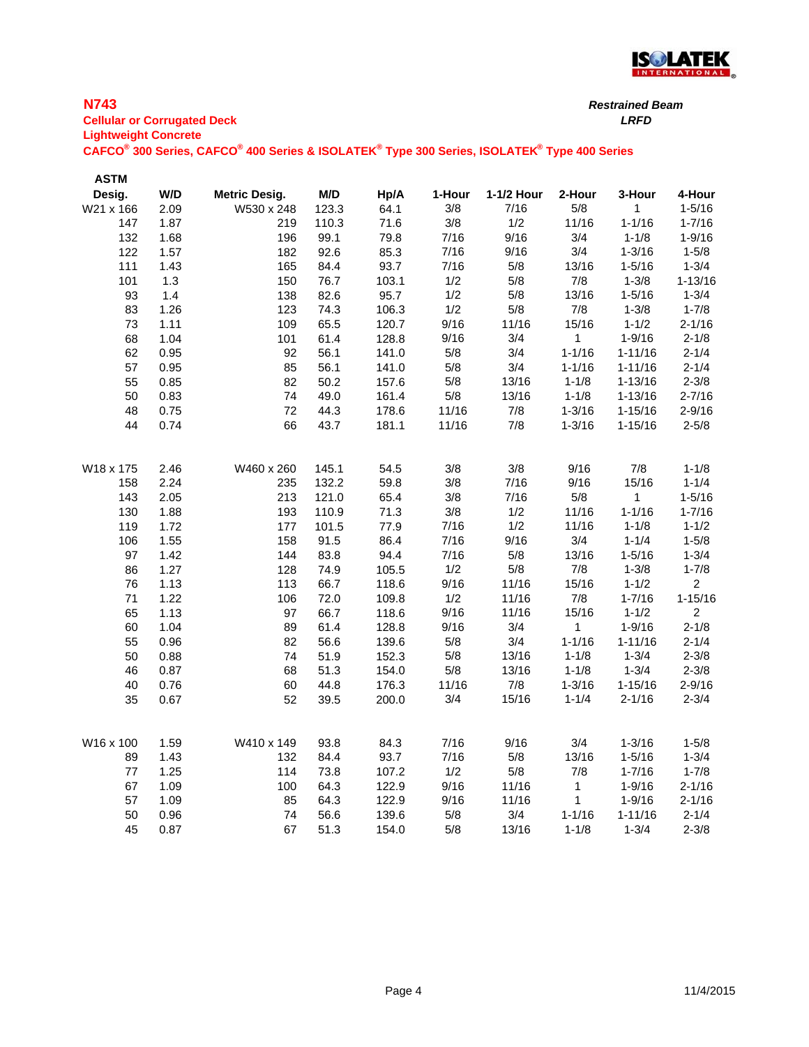

#### **N743**

| <b>Cellular or Corrugated Deck</b> | <b>LRFD</b> |
|------------------------------------|-------------|
| <b>Lightweight Concrete</b>        |             |
|                                    |             |

| <b>ASTM</b><br>Desig. | W/D          | <b>Metric Desig.</b> | M/D   | Hp/A         | 1-Hour | 1-1/2 Hour | 2-Hour       | 3-Hour                   | 4-Hour                 |
|-----------------------|--------------|----------------------|-------|--------------|--------|------------|--------------|--------------------------|------------------------|
| W21 x 166             | 2.09         | W530 x 248           | 123.3 | 64.1         | 3/8    | 7/16       | $5/8$        | 1                        | $1 - 5/16$             |
| 147                   | 1.87         | 219                  | 110.3 | 71.6         | 3/8    | 1/2        | 11/16        | $1 - 1/16$               | $1 - 7/16$             |
| 132                   | 1.68         | 196                  | 99.1  | 79.8         | 7/16   | 9/16       | 3/4          | $1 - 1/8$                | $1 - 9/16$             |
| 122                   | 1.57         | 182                  | 92.6  | 85.3         | 7/16   | 9/16       | 3/4          | $1 - 3/16$               | $1 - 5/8$              |
| 111                   | 1.43         | 165                  | 84.4  | 93.7         | 7/16   | 5/8        | 13/16        | $1 - 5/16$               | $1 - 3/4$              |
| 101                   | 1.3          | 150                  | 76.7  | 103.1        | 1/2    | 5/8        | 7/8          | $1 - 3/8$                | $1 - 13/16$            |
| 93                    | $1.4$        | 138                  | 82.6  | 95.7         | 1/2    | 5/8        | 13/16        | $1 - 5/16$               | $1 - 3/4$              |
| 83                    | 1.26         | 123                  | 74.3  | 106.3        | 1/2    | 5/8        | $7/8$        | $1 - 3/8$                | $1 - 7/8$              |
| 73                    | 1.11         | 109                  | 65.5  | 120.7        | 9/16   | 11/16      | 15/16        | $1 - 1/2$                | $2 - 1/16$             |
| 68                    | 1.04         | 101                  | 61.4  | 128.8        | 9/16   | 3/4        | 1            | $1 - 9/16$               | $2 - 1/8$              |
| 62                    | 0.95         | 92                   | 56.1  | 141.0        | $5/8$  | 3/4        | $1 - 1/16$   | $1 - 11/16$              | $2 - 1/4$              |
| 57                    | 0.95         | 85                   | 56.1  | 141.0        | $5/8$  | 3/4        | $1 - 1/16$   | $1 - 11/16$              | $2 - 1/4$              |
| 55                    | 0.85         | 82                   | 50.2  | 157.6        | 5/8    | 13/16      | $1 - 1/8$    | $1 - 13/16$              | $2 - 3/8$              |
| 50                    | 0.83         | 74                   | 49.0  | 161.4        | $5/8$  | 13/16      | $1 - 1/8$    | $1 - 13/16$              | $2 - 7/16$             |
| 48                    | 0.75         | 72                   | 44.3  | 178.6        | 11/16  | 7/8        | $1 - 3/16$   | $1 - 15/16$              | $2 - 9/16$             |
| 44                    | 0.74         | 66                   | 43.7  | 181.1        | 11/16  | 7/8        | $1 - 3/16$   | $1 - 15/16$              | $2 - 5/8$              |
| W18 x 175             | 2.46         | W460 x 260           | 145.1 | 54.5         | 3/8    | 3/8        | 9/16         | 7/8                      | $1 - 1/8$              |
| 158                   | 2.24         | 235                  | 132.2 | 59.8         | 3/8    | 7/16       | 9/16         | 15/16                    | $1 - 1/4$              |
| 143                   | 2.05         | 213                  | 121.0 | 65.4         | 3/8    | 7/16       | $5/8$        | $\mathbf{1}$             | $1 - 5/16$             |
| 130                   | 1.88         | 193                  | 110.9 | 71.3         | 3/8    | 1/2        | 11/16        | $1 - 1/16$               | $1 - 7/16$             |
| 119                   | 1.72         | 177                  | 101.5 | 77.9         | 7/16   | 1/2        | 11/16        | $1 - 1/8$                | $1 - 1/2$              |
| 106                   | 1.55         | 158                  | 91.5  | 86.4         | 7/16   | 9/16       | 3/4          | $1 - 1/4$                | $1 - 5/8$              |
| 97                    | 1.42         | 144                  | 83.8  | 94.4         | 7/16   | 5/8        | 13/16        | $1 - 5/16$               | $1 - 3/4$              |
| 86                    | 1.27         | 128                  | 74.9  | 105.5        | 1/2    | 5/8        | 7/8          | $1 - 3/8$                | $1 - 7/8$              |
| 76                    | 1.13         | 113                  | 66.7  | 118.6        | 9/16   | 11/16      | 15/16        | $1 - 1/2$                | $\overline{a}$         |
| 71                    | 1.22         | 106                  | 72.0  | 109.8        | 1/2    | 11/16      | $7/8$        | $1 - 7/16$               | $1 - 15/16$            |
| 65                    | 1.13         | 97                   | 66.7  | 118.6        | 9/16   | 11/16      | 15/16        | $1 - 1/2$                | $\overline{2}$         |
| 60                    | 1.04         | 89                   | 61.4  | 128.8        | 9/16   | 3/4        | $\mathbf{1}$ | $1 - 9/16$               | $2 - 1/8$              |
| 55                    | 0.96         | 82                   | 56.6  | 139.6        | $5/8$  | 3/4        | $1 - 1/16$   | $1 - 11/16$              | $2 - 1/4$              |
| 50                    | 0.88         | 74                   | 51.9  | 152.3        | 5/8    | 13/16      | $1 - 1/8$    | $1 - 3/4$                | $2 - 3/8$              |
| 46                    | 0.87         | 68                   | 51.3  | 154.0        | $5/8$  | 13/16      | $1 - 1/8$    | $1 - 3/4$                | $2 - 3/8$              |
| 40                    | 0.76         | 60                   | 44.8  | 176.3        | 11/16  | $7/8$      | $1 - 3/16$   | $1 - 15/16$              | $2 - 9/16$             |
| 35                    | 0.67         | 52                   | 39.5  | 200.0        | 3/4    | 15/16      | $1 - 1/4$    | $2 - 1/16$               | $2 - 3/4$              |
|                       |              |                      | 93.8  |              | 7/16   | 9/16       | 3/4          |                          |                        |
| W16 x 100<br>89       | 1.59<br>1.43 | W410 x 149<br>132    | 84.4  | 84.3<br>93.7 | 7/16   | 5/8        | 13/16        | $1 - 3/16$<br>$1 - 5/16$ | $1 - 5/8$<br>$1 - 3/4$ |
| 77                    | 1.25         | 114                  | 73.8  | 107.2        | 1/2    | 5/8        | 7/8          | $1 - 7/16$               | $1 - 7/8$              |
| 67                    | 1.09         | 100                  | 64.3  | 122.9        | 9/16   | 11/16      | 1            | $1 - 9/16$               | $2 - 1/16$             |
| 57                    | 1.09         | 85                   | 64.3  | 122.9        | 9/16   | 11/16      | $\mathbf{1}$ | $1 - 9/16$               | $2 - 1/16$             |
| 50                    | 0.96         | 74                   | 56.6  | 139.6        | 5/8    | 3/4        | $1 - 1/16$   | $1 - 11/16$              | $2 - 1/4$              |
| 45                    | 0.87         | 67                   | 51.3  | 154.0        | 5/8    | 13/16      | $1 - 1/8$    | $1 - 3/4$                | $2 - 3/8$              |
|                       |              |                      |       |              |        |            |              |                          |                        |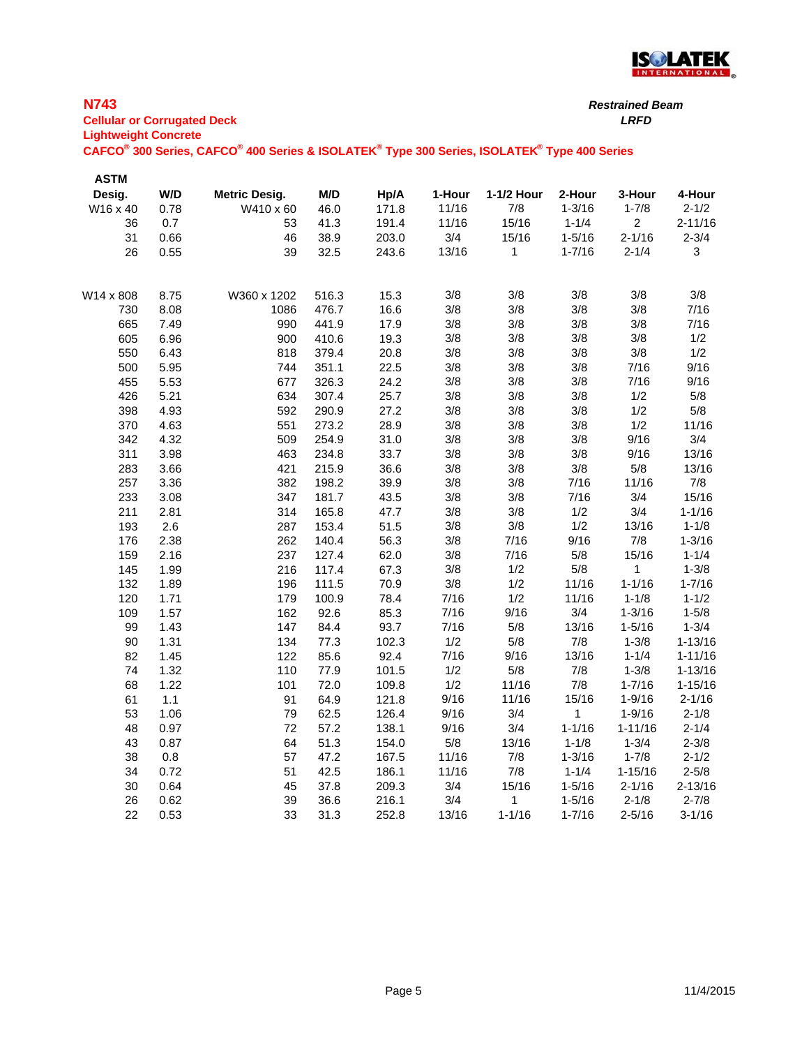

# **N743**

| <b>Cellular or Corrugated Deck</b> | LRFD |
|------------------------------------|------|
| <b>Lightweight Concrete</b>        |      |

| <b>ASTM</b> |      |                      |       |       |        |              |              |                |             |
|-------------|------|----------------------|-------|-------|--------|--------------|--------------|----------------|-------------|
| Desig.      | W/D  | <b>Metric Desig.</b> | M/D   | Hp/A  | 1-Hour | 1-1/2 Hour   | 2-Hour       | 3-Hour         | 4-Hour      |
| W16 x 40    | 0.78 | W410 x 60            | 46.0  | 171.8 | 11/16  | 7/8          | $1 - 3/16$   | $1 - 7/8$      | $2 - 1/2$   |
| 36          | 0.7  | 53                   | 41.3  | 191.4 | 11/16  | 15/16        | $1 - 1/4$    | $\overline{c}$ | $2 - 11/16$ |
| 31          | 0.66 | 46                   | 38.9  | 203.0 | 3/4    | 15/16        | $1 - 5/16$   | $2 - 1/16$     | $2 - 3/4$   |
| 26          | 0.55 | 39                   | 32.5  | 243.6 | 13/16  | $\mathbf{1}$ | $1 - 7/16$   | $2 - 1/4$      | 3           |
| W14 x 808   | 8.75 | W360 x 1202          | 516.3 | 15.3  | 3/8    | 3/8          | 3/8          | 3/8            | 3/8         |
| 730         | 8.08 | 1086                 | 476.7 | 16.6  | 3/8    | 3/8          | 3/8          | 3/8            | 7/16        |
| 665         | 7.49 | 990                  | 441.9 | 17.9  | 3/8    | 3/8          | 3/8          | 3/8            | 7/16        |
| 605         | 6.96 | 900                  | 410.6 | 19.3  | 3/8    | 3/8          | 3/8          | 3/8            | 1/2         |
| 550         | 6.43 | 818                  | 379.4 | 20.8  | 3/8    | 3/8          | 3/8          | $3/8$          | 1/2         |
| 500         | 5.95 | 744                  | 351.1 | 22.5  | 3/8    | 3/8          | 3/8          | 7/16           | 9/16        |
| 455         | 5.53 | 677                  | 326.3 | 24.2  | 3/8    | 3/8          | 3/8          | 7/16           | 9/16        |
| 426         | 5.21 | 634                  | 307.4 | 25.7  | 3/8    | 3/8          | 3/8          | 1/2            | 5/8         |
| 398         | 4.93 | 592                  | 290.9 | 27.2  | 3/8    | 3/8          | 3/8          | 1/2            | 5/8         |
| 370         | 4.63 | 551                  | 273.2 | 28.9  | 3/8    | 3/8          | 3/8          | 1/2            | 11/16       |
| 342         | 4.32 | 509                  | 254.9 | 31.0  | 3/8    | 3/8          | 3/8          | 9/16           | 3/4         |
| 311         | 3.98 | 463                  | 234.8 | 33.7  | 3/8    | 3/8          | 3/8          | 9/16           | 13/16       |
| 283         | 3.66 | 421                  | 215.9 | 36.6  | 3/8    | 3/8          | 3/8          | $5/8$          | 13/16       |
| 257         | 3.36 | 382                  | 198.2 | 39.9  | 3/8    | 3/8          | 7/16         | 11/16          | $7/8$       |
| 233         | 3.08 | 347                  | 181.7 | 43.5  | 3/8    | 3/8          | 7/16         | 3/4            | 15/16       |
| 211         | 2.81 | 314                  | 165.8 | 47.7  | 3/8    | 3/8          | 1/2          | 3/4            | $1 - 1/16$  |
| 193         | 2.6  | 287                  | 153.4 | 51.5  | 3/8    | 3/8          | 1/2          | 13/16          | $1 - 1/8$   |
| 176         | 2.38 | 262                  | 140.4 | 56.3  | 3/8    | 7/16         | 9/16         | $7/8$          | $1 - 3/16$  |
| 159         | 2.16 | 237                  | 127.4 | 62.0  | 3/8    | 7/16         | $5/8$        | 15/16          | $1 - 1/4$   |
| 145         | 1.99 | 216                  | 117.4 | 67.3  | 3/8    | 1/2          | $5/8$        | 1              | $1 - 3/8$   |
| 132         | 1.89 | 196                  | 111.5 | 70.9  | 3/8    | 1/2          | 11/16        | $1 - 1/16$     | $1 - 7/16$  |
| 120         | 1.71 | 179                  | 100.9 | 78.4  | 7/16   | 1/2          | 11/16        | $1 - 1/8$      | $1 - 1/2$   |
| 109         | 1.57 | 162                  | 92.6  | 85.3  | 7/16   | 9/16         | 3/4          | $1 - 3/16$     | $1 - 5/8$   |
| 99          | 1.43 | 147                  | 84.4  | 93.7  | 7/16   | $5/8$        | 13/16        | $1 - 5/16$     | $1 - 3/4$   |
| 90          | 1.31 | 134                  | 77.3  | 102.3 | 1/2    | $5/8$        | 7/8          | $1 - 3/8$      | $1 - 13/16$ |
| 82          | 1.45 | 122                  | 85.6  | 92.4  | 7/16   | 9/16         | 13/16        | $1 - 1/4$      | $1 - 11/16$ |
| 74          | 1.32 | 110                  | 77.9  | 101.5 | 1/2    | $5/8$        | 7/8          | $1 - 3/8$      | $1 - 13/16$ |
| 68          | 1.22 | 101                  | 72.0  | 109.8 | 1/2    | 11/16        | 7/8          | $1 - 7/16$     | $1 - 15/16$ |
| 61          | 1.1  | 91                   | 64.9  | 121.8 | 9/16   | 11/16        | 15/16        | $1 - 9/16$     | $2 - 1/16$  |
| 53          | 1.06 | 79                   | 62.5  | 126.4 | 9/16   | 3/4          | $\mathbf{1}$ | $1 - 9/16$     | $2 - 1/8$   |
| 48          | 0.97 | 72                   | 57.2  | 138.1 | 9/16   | 3/4          | $1 - 1/16$   | $1 - 11/16$    | $2 - 1/4$   |
| 43          | 0.87 | 64                   | 51.3  | 154.0 | $5/8$  | 13/16        | $1 - 1/8$    | $1 - 3/4$      | $2 - 3/8$   |
| 38          | 0.8  | 57                   | 47.2  | 167.5 | 11/16  | 7/8          | $1 - 3/16$   | $1 - 7/8$      | $2 - 1/2$   |
| 34          | 0.72 | 51                   | 42.5  | 186.1 | 11/16  | 7/8          | $1 - 1/4$    | $1 - 15/16$    | $2 - 5/8$   |
| 30          | 0.64 | 45                   | 37.8  | 209.3 | 3/4    | 15/16        | $1 - 5/16$   | $2 - 1/16$     | $2 - 13/16$ |
| 26          | 0.62 | 39                   | 36.6  | 216.1 | 3/4    | $\mathbf{1}$ | $1 - 5/16$   | $2 - 1/8$      | $2 - 7/8$   |
| 22          | 0.53 | 33                   | 31.3  | 252.8 | 13/16  | $1 - 1/16$   | $1 - 7/16$   | $2 - 5/16$     | $3 - 1/16$  |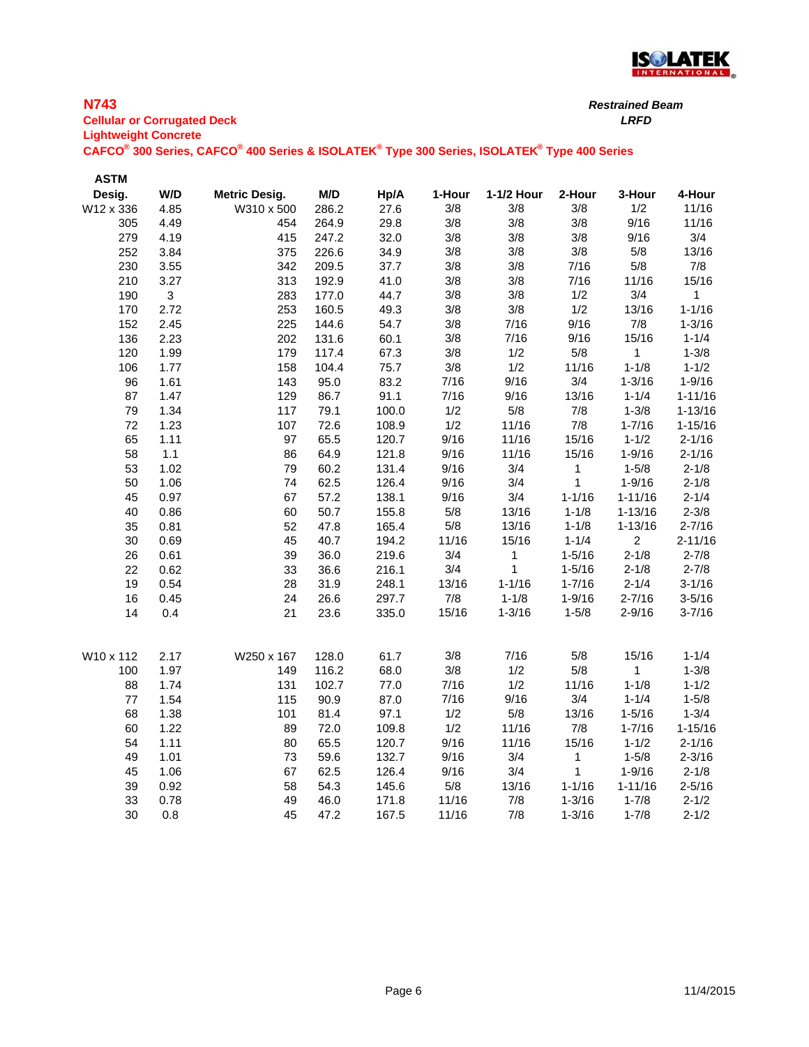

#### **N743**

**Cellular or Corrugated Deck** *LRFD* **Lightweight Concrete**

| <b>ASTM</b> |              |                      |       |       |        |              |              |                  |              |
|-------------|--------------|----------------------|-------|-------|--------|--------------|--------------|------------------|--------------|
| Desig.      | W/D          | <b>Metric Desig.</b> | M/D   | Hp/A  | 1-Hour | 1-1/2 Hour   | 2-Hour       | 3-Hour           | 4-Hour       |
| W12 x 336   | 4.85         | W310 x 500           | 286.2 | 27.6  | 3/8    | 3/8          | 3/8          | 1/2              | 11/16        |
| 305         | 4.49         | 454                  | 264.9 | 29.8  | 3/8    | 3/8          | 3/8          | 9/16             | 11/16        |
| 279         | 4.19         | 415                  | 247.2 | 32.0  | 3/8    | 3/8          | 3/8          | 9/16             | 3/4          |
| 252         | 3.84         | 375                  | 226.6 | 34.9  | 3/8    | 3/8          | 3/8          | $5/8$            | 13/16        |
| 230         | 3.55         | 342                  | 209.5 | 37.7  | 3/8    | 3/8          | 7/16         | 5/8              | 7/8          |
| 210         | 3.27         | 313                  | 192.9 | 41.0  | 3/8    | 3/8          | 7/16         | 11/16            | 15/16        |
| 190         | $\mathbf{3}$ | 283                  | 177.0 | 44.7  | 3/8    | 3/8          | 1/2          | 3/4              | $\mathbf{1}$ |
| 170         | 2.72         | 253                  | 160.5 | 49.3  | 3/8    | 3/8          | 1/2          | 13/16            | $1 - 1/16$   |
| 152         | 2.45         | 225                  | 144.6 | 54.7  | 3/8    | 7/16         | 9/16         | 7/8              | $1 - 3/16$   |
| 136         | 2.23         | 202                  | 131.6 | 60.1  | 3/8    | 7/16         | 9/16         | 15/16            | $1 - 1/4$    |
| 120         | 1.99         | 179                  | 117.4 | 67.3  | 3/8    | 1/2          | $5/8$        | $\mathbf{1}$     | $1 - 3/8$    |
| 106         | 1.77         | 158                  | 104.4 | 75.7  | 3/8    | 1/2          | 11/16        | $1 - 1/8$        | $1 - 1/2$    |
| 96          | 1.61         | 143                  | 95.0  | 83.2  | 7/16   | 9/16         | 3/4          | $1 - 3/16$       | $1 - 9/16$   |
| 87          | 1.47         | 129                  | 86.7  | 91.1  | 7/16   | 9/16         | 13/16        | $1 - 1/4$        | $1 - 11/16$  |
| 79          | 1.34         | 117                  | 79.1  | 100.0 | 1/2    | 5/8          | 7/8          | $1 - 3/8$        | $1 - 13/16$  |
| 72          | 1.23         | 107                  | 72.6  | 108.9 | 1/2    | 11/16        | 7/8          | $1 - 7/16$       | $1 - 15/16$  |
| 65          | 1.11         | 97                   | 65.5  | 120.7 | 9/16   | 11/16        | 15/16        | $1 - 1/2$        | $2 - 1/16$   |
| 58          | 1.1          | 86                   | 64.9  | 121.8 | 9/16   | 11/16        | 15/16        | $1 - 9/16$       | $2 - 1/16$   |
| 53          | 1.02         | 79                   | 60.2  | 131.4 | 9/16   | 3/4          | 1            | $1 - 5/8$        | $2 - 1/8$    |
| 50          | 1.06         | 74                   | 62.5  | 126.4 | 9/16   | 3/4          | $\mathbf{1}$ | $1 - 9/16$       | $2 - 1/8$    |
| 45          | 0.97         | 67                   | 57.2  | 138.1 | 9/16   | 3/4          | $1 - 1/16$   | $1 - 11/16$      | $2 - 1/4$    |
| 40          | 0.86         | 60                   | 50.7  | 155.8 | $5/8$  | 13/16        | $1 - 1/8$    | $1 - 13/16$      | $2 - 3/8$    |
| 35          | 0.81         | 52                   | 47.8  | 165.4 | 5/8    | 13/16        | $1 - 1/8$    | $1 - 13/16$      | $2 - 7/16$   |
| 30          | 0.69         | 45                   | 40.7  | 194.2 | 11/16  | 15/16        | $1 - 1/4$    | $\boldsymbol{2}$ | $2 - 11/16$  |
| 26          | 0.61         | 39                   | 36.0  | 219.6 | 3/4    | $\mathbf{1}$ | $1 - 5/16$   | $2 - 1/8$        | $2 - 7/8$    |
| 22          | 0.62         | 33                   | 36.6  | 216.1 | 3/4    | $\mathbf{1}$ | $1 - 5/16$   | $2 - 1/8$        | $2 - 7/8$    |
| 19          | 0.54         | 28                   | 31.9  | 248.1 | 13/16  | $1 - 1/16$   | $1 - 7/16$   | $2 - 1/4$        | $3 - 1/16$   |
| 16          | 0.45         | 24                   | 26.6  | 297.7 | 7/8    | $1 - 1/8$    | $1 - 9/16$   | $2 - 7/16$       | $3 - 5/16$   |
| 14          | 0.4          | 21                   | 23.6  | 335.0 | 15/16  | $1 - 3/16$   | $1 - 5/8$    | $2 - 9/16$       | $3 - 7/16$   |
| W10 x 112   | 2.17         | W250 x 167           | 128.0 | 61.7  | 3/8    | 7/16         | 5/8          | 15/16            | $1 - 1/4$    |
| 100         | 1.97         | 149                  | 116.2 | 68.0  | 3/8    | 1/2          | $5/8$        | 1                | $1 - 3/8$    |
| 88          | 1.74         | 131                  | 102.7 | 77.0  | 7/16   | 1/2          | 11/16        | $1 - 1/8$        | $1 - 1/2$    |
| 77          | 1.54         | 115                  | 90.9  | 87.0  | 7/16   | 9/16         | 3/4          | $1 - 1/4$        | $1 - 5/8$    |
| 68          | 1.38         | 101                  | 81.4  | 97.1  | 1/2    | 5/8          | 13/16        | $1 - 5/16$       | $1 - 3/4$    |
| 60          | 1.22         | 89                   | 72.0  | 109.8 | 1/2    | 11/16        | 7/8          | $1 - 7/16$       | $1 - 15/16$  |
| 54          | 1.11         | 80                   | 65.5  | 120.7 | 9/16   | 11/16        | 15/16        | $1 - 1/2$        | $2 - 1/16$   |
| 49          | 1.01         | 73                   | 59.6  | 132.7 | 9/16   | 3/4          | $\mathbf{1}$ | $1 - 5/8$        | $2 - 3/16$   |
| 45          | 1.06         | 67                   | 62.5  | 126.4 | 9/16   | 3/4          | $\mathbf{1}$ | $1 - 9/16$       | $2 - 1/8$    |
| 39          | 0.92         | 58                   | 54.3  | 145.6 | $5/8$  | 13/16        | $1 - 1/16$   | $1 - 11/16$      | $2 - 5/16$   |
| 33          | 0.78         | 49                   | 46.0  | 171.8 | 11/16  | 7/8          | $1 - 3/16$   | $1 - 7/8$        | $2 - 1/2$    |
| 30          | 0.8          | 45                   | 47.2  | 167.5 | 11/16  | 7/8          | $1 - 3/16$   | $1 - 7/8$        | $2 - 1/2$    |